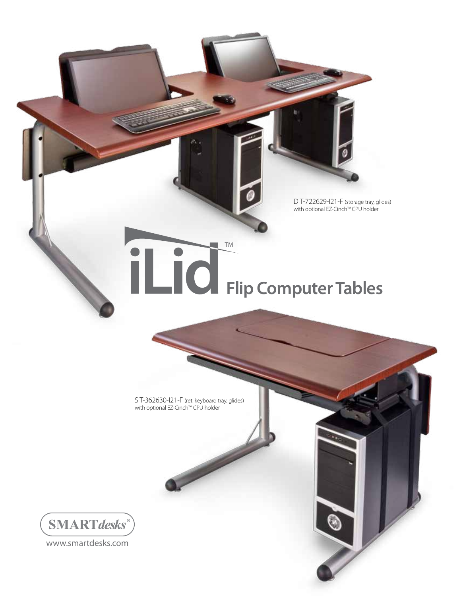DIT-722629-I21-F (storage tray, glides) with optional EZ-Cinch™ CPU holder

## **Flip Computer Tables**

TM

SIT-362630-I21-F (ret. keyboard tray, glides) with optional EZ-Cinch™ CPU holder



www.smartdesks.com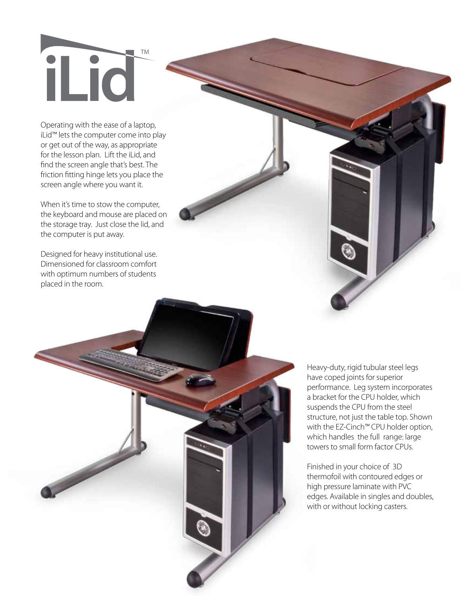## TM il io

Operating with the ease of a laptop, iLid™ lets the computer come into play or get out of the way, as appropriate for the lesson plan. Lift the iLid, and find the screen angle that's best. The friction fitting hinge lets you place the screen angle where you want it.

When it's time to stow the computer, the keyboard and mouse are placed on the storage tray. Just close the lid, and the computer is put away.

Designed for heavy institutional use. Dimensioned for classroom comfort with optimum numbers of students placed in the room.

> Heavy-duty, rigid tubular steel legs have coped joints for superior performance. Leg system incorporates a bracket for the CPU holder, which suspends the CPU from the steel structure, not just the table top. Shown with the EZ-Cinch™ CPU holder option, which handles the full range: large towers to small form factor CPUs.

> Finished in your choice of 3D thermofoil with contoured edges or high pressure laminate with PVC edges. Available in singles and doubles, with or without locking casters.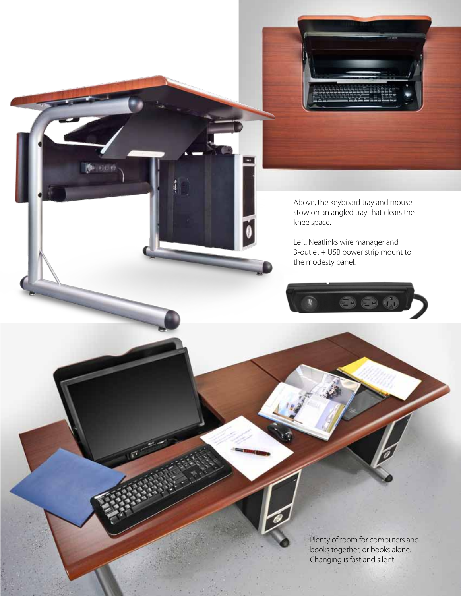

Plenty of room for computers and books together, or books alone. Changing is fast and silent.